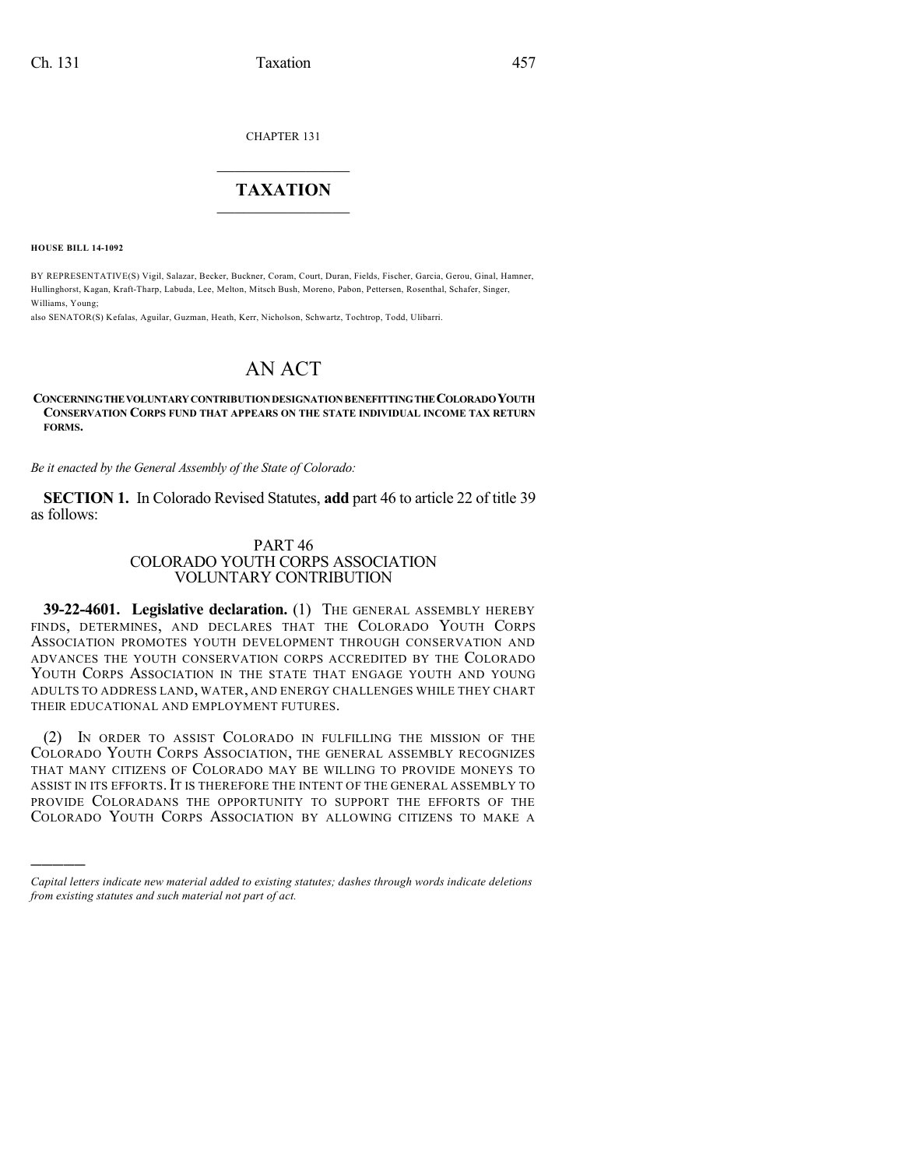CHAPTER 131

## $\mathcal{L}_\text{max}$  . The set of the set of the set of the set of the set of the set of the set of the set of the set of the set of the set of the set of the set of the set of the set of the set of the set of the set of the set **TAXATION**  $\_$

**HOUSE BILL 14-1092**

)))))

BY REPRESENTATIVE(S) Vigil, Salazar, Becker, Buckner, Coram, Court, Duran, Fields, Fischer, Garcia, Gerou, Ginal, Hamner, Hullinghorst, Kagan, Kraft-Tharp, Labuda, Lee, Melton, Mitsch Bush, Moreno, Pabon, Pettersen, Rosenthal, Schafer, Singer, Williams, Young;

also SENATOR(S) Kefalas, Aguilar, Guzman, Heath, Kerr, Nicholson, Schwartz, Tochtrop, Todd, Ulibarri.

## AN ACT

## **CONCERNINGTHEVOLUNTARYCONTRIBUTIONDESIGNATIONBENEFITTINGTHECOLORADOYOUTH CONSERVATION CORPS FUND THAT APPEARS ON THE STATE INDIVIDUAL INCOME TAX RETURN FORMS.**

*Be it enacted by the General Assembly of the State of Colorado:*

**SECTION 1.** In Colorado Revised Statutes, **add** part 46 to article 22 of title 39 as follows:

## PART 46 COLORADO YOUTH CORPS ASSOCIATION VOLUNTARY CONTRIBUTION

**39-22-4601. Legislative declaration.** (1) THE GENERAL ASSEMBLY HEREBY FINDS, DETERMINES, AND DECLARES THAT THE COLORADO YOUTH CORPS ASSOCIATION PROMOTES YOUTH DEVELOPMENT THROUGH CONSERVATION AND ADVANCES THE YOUTH CONSERVATION CORPS ACCREDITED BY THE COLORADO YOUTH CORPS ASSOCIATION IN THE STATE THAT ENGAGE YOUTH AND YOUNG ADULTS TO ADDRESS LAND, WATER, AND ENERGY CHALLENGES WHILE THEY CHART THEIR EDUCATIONAL AND EMPLOYMENT FUTURES.

(2) IN ORDER TO ASSIST COLORADO IN FULFILLING THE MISSION OF THE COLORADO YOUTH CORPS ASSOCIATION, THE GENERAL ASSEMBLY RECOGNIZES THAT MANY CITIZENS OF COLORADO MAY BE WILLING TO PROVIDE MONEYS TO ASSIST IN ITS EFFORTS. IT IS THEREFORE THE INTENT OF THE GENERAL ASSEMBLY TO PROVIDE COLORADANS THE OPPORTUNITY TO SUPPORT THE EFFORTS OF THE COLORADO YOUTH CORPS ASSOCIATION BY ALLOWING CITIZENS TO MAKE A

*Capital letters indicate new material added to existing statutes; dashes through words indicate deletions from existing statutes and such material not part of act.*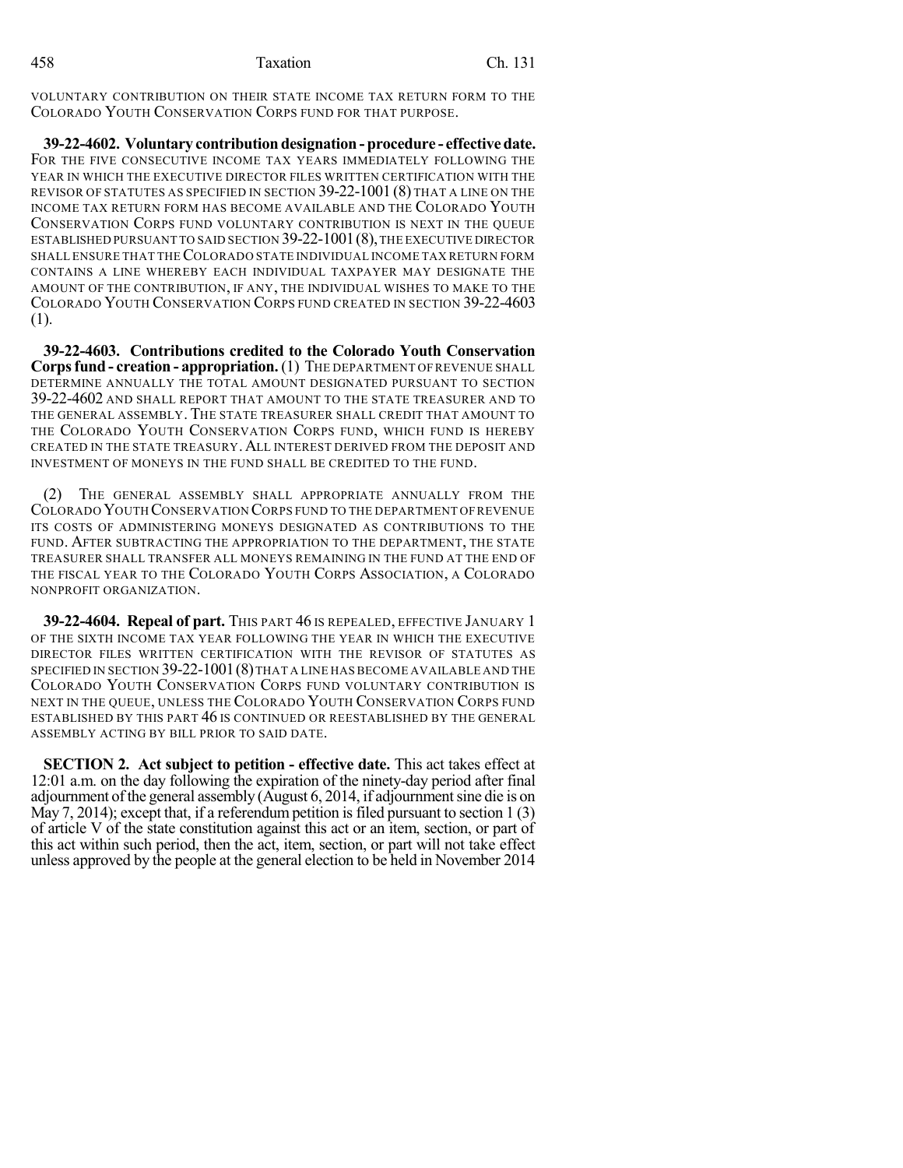VOLUNTARY CONTRIBUTION ON THEIR STATE INCOME TAX RETURN FORM TO THE COLORADO YOUTH CONSERVATION CORPS FUND FOR THAT PURPOSE.

**39-22-4602. Voluntary contribution designation - procedure - effectivedate.** FOR THE FIVE CONSECUTIVE INCOME TAX YEARS IMMEDIATELY FOLLOWING THE YEAR IN WHICH THE EXECUTIVE DIRECTOR FILES WRITTEN CERTIFICATION WITH THE REVISOR OF STATUTES AS SPECIFIED IN SECTION 39-22-1001 (8) THAT A LINE ON THE INCOME TAX RETURN FORM HAS BECOME AVAILABLE AND THE COLORADO YOUTH CONSERVATION CORPS FUND VOLUNTARY CONTRIBUTION IS NEXT IN THE QUEUE ESTABLISHED PURSUANT TO SAID SECTION 39-22-1001 (8), THE EXECUTIVE DIRECTOR SHALL ENSURE THAT THECOLORADO STATE INDIVIDUAL INCOME TAX RETURN FORM CONTAINS A LINE WHEREBY EACH INDIVIDUAL TAXPAYER MAY DESIGNATE THE AMOUNT OF THE CONTRIBUTION, IF ANY, THE INDIVIDUAL WISHES TO MAKE TO THE COLORADO YOUTH CONSERVATION CORPS FUND CREATED IN SECTION 39-22-4603 (1).

**39-22-4603. Contributions credited to the Colorado Youth Conservation Corpsfund - creation - appropriation.**(1) THE DEPARTMENT OFREVENUE SHALL DETERMINE ANNUALLY THE TOTAL AMOUNT DESIGNATED PURSUANT TO SECTION 39-22-4602 AND SHALL REPORT THAT AMOUNT TO THE STATE TREASURER AND TO THE GENERAL ASSEMBLY. THE STATE TREASURER SHALL CREDIT THAT AMOUNT TO THE COLORADO YOUTH CONSERVATION CORPS FUND, WHICH FUND IS HEREBY CREATED IN THE STATE TREASURY. ALL INTEREST DERIVED FROM THE DEPOSIT AND INVESTMENT OF MONEYS IN THE FUND SHALL BE CREDITED TO THE FUND.

THE GENERAL ASSEMBLY SHALL APPROPRIATE ANNUALLY FROM THE COLORADO YOUTH CONSERVATION CORPS FUND TO THE DEPARTMENT OFREVENUE ITS COSTS OF ADMINISTERING MONEYS DESIGNATED AS CONTRIBUTIONS TO THE FUND. AFTER SUBTRACTING THE APPROPRIATION TO THE DEPARTMENT, THE STATE TREASURER SHALL TRANSFER ALL MONEYS REMAINING IN THE FUND AT THE END OF THE FISCAL YEAR TO THE COLORADO YOUTH CORPS ASSOCIATION, A COLORADO NONPROFIT ORGANIZATION.

**39-22-4604. Repeal of part.** THIS PART 46 IS REPEALED, EFFECTIVE JANUARY 1 OF THE SIXTH INCOME TAX YEAR FOLLOWING THE YEAR IN WHICH THE EXECUTIVE DIRECTOR FILES WRITTEN CERTIFICATION WITH THE REVISOR OF STATUTES AS SPECIFIED IN SECTION 39-22-1001(8)THAT A LINE HAS BECOME AVAILABLE AND THE COLORADO YOUTH CONSERVATION CORPS FUND VOLUNTARY CONTRIBUTION IS NEXT IN THE QUEUE, UNLESS THE COLORADO YOUTH CONSERVATION CORPS FUND ESTABLISHED BY THIS PART 46 IS CONTINUED OR REESTABLISHED BY THE GENERAL ASSEMBLY ACTING BY BILL PRIOR TO SAID DATE.

**SECTION 2. Act subject to petition - effective date.** This act takes effect at 12:01 a.m. on the day following the expiration of the ninety-day period after final adjournment ofthe general assembly (August 6, 2014, if adjournmentsine die is on May 7, 2014); except that, if a referendum petition is filed pursuant to section 1 (3) of article V of the state constitution against this act or an item, section, or part of this act within such period, then the act, item, section, or part will not take effect unless approved by the people at the general election to be held in November 2014